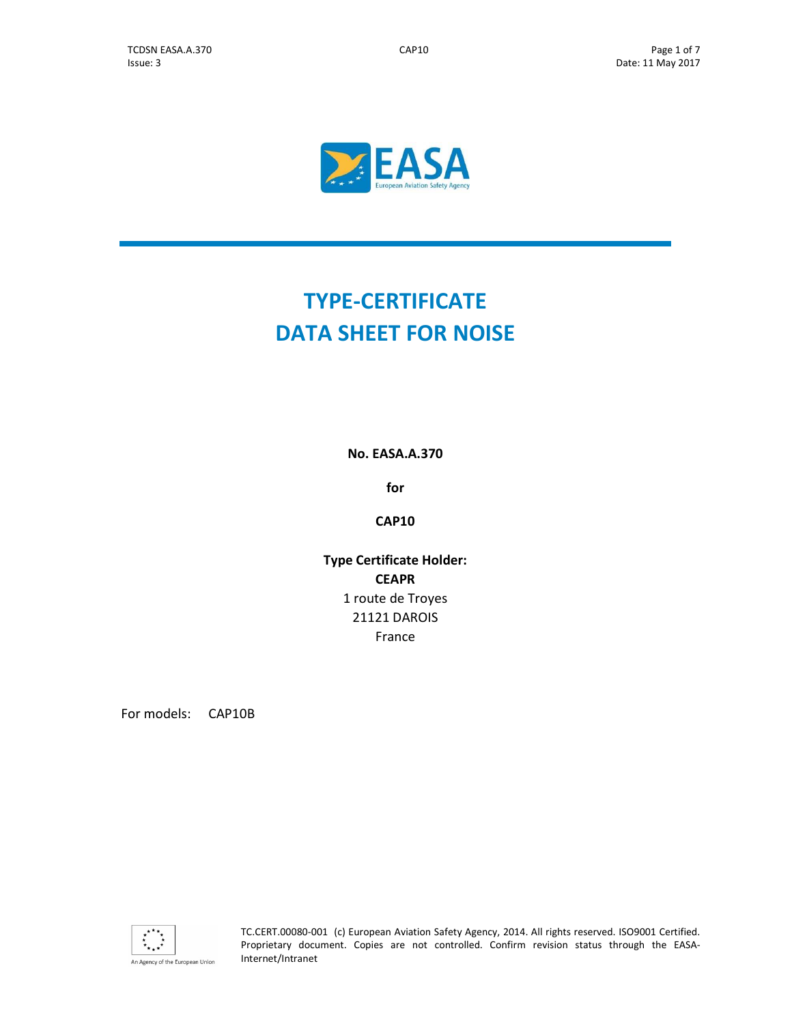

# **TYPE-CERTIFICATE DATA SHEET FOR NOISE**

**No. EASA.A.370** 

**for** 

**CAP10** 

**Type Certificate Holder: CEAPR**  1 route de Troyes 21121 DAROIS France

For models: CAP10B

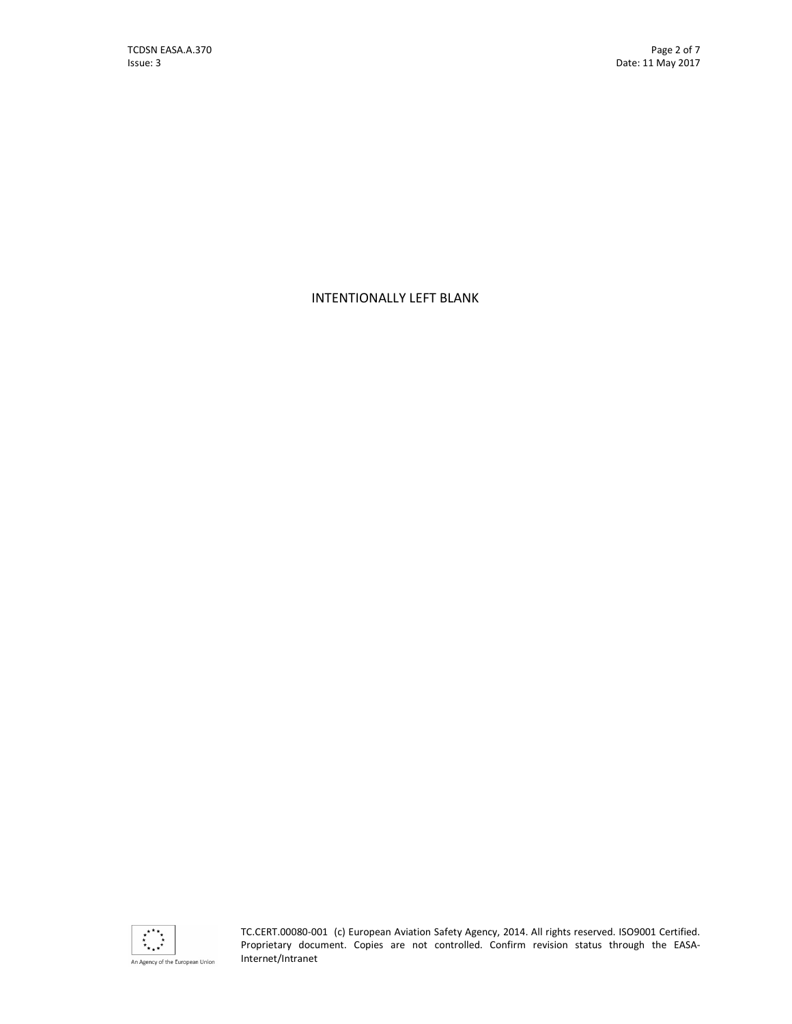### INTENTIONALLY LEFT BLANK

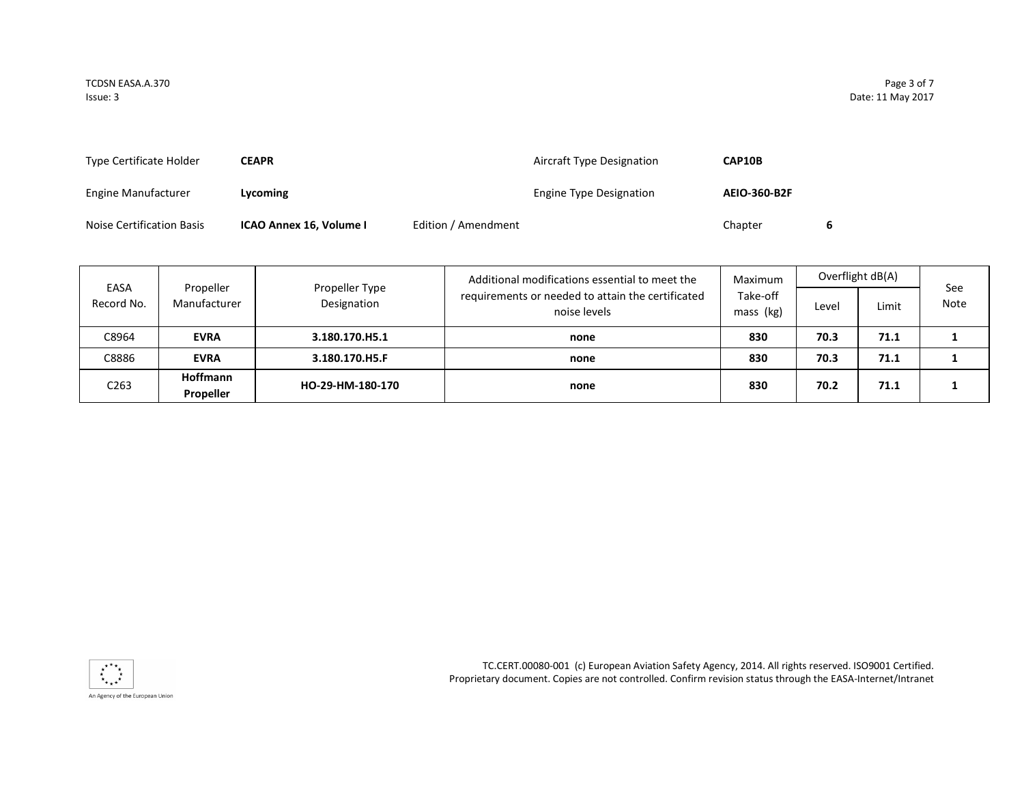Issue: 3

| Type Certificate Holder   | <b>CEAPR</b>            |                     | Aircraft Type Designation      | CAP10B              |   |
|---------------------------|-------------------------|---------------------|--------------------------------|---------------------|---|
| Engine Manufacturer       | Lycoming                |                     | <b>Engine Type Designation</b> | <b>AEIO-360-B2F</b> |   |
| Noise Certification Basis | ICAO Annex 16, Volume I | Edition / Amendment |                                | Chapter             | ь |

|                                                                                  |                                                                   |                       | Additional modifications essential to meet the | Maximum | Overflight dB(A) |      | See<br>Note |
|----------------------------------------------------------------------------------|-------------------------------------------------------------------|-----------------------|------------------------------------------------|---------|------------------|------|-------------|
| EASA<br>Propeller Type<br>Propeller<br>Designation<br>Manufacturer<br>Record No. | requirements or needed to attain the certificated<br>noise levels | Take-off<br>mass (kg) | Level                                          | Limit   |                  |      |             |
| C8964                                                                            | <b>EVRA</b>                                                       | 3.180.170.H5.1        | none                                           | 830     | 70.3             | 71.1 |             |
| C8886                                                                            | <b>EVRA</b>                                                       | 3.180.170.H5.F        | none                                           | 830     | 70.3             | 71.1 |             |
| C <sub>263</sub>                                                                 | <b>Hoffmann</b><br><b>Propeller</b>                               | HO-29-HM-180-170      | none                                           | 830     | 70.2             | 71.1 | л.          |

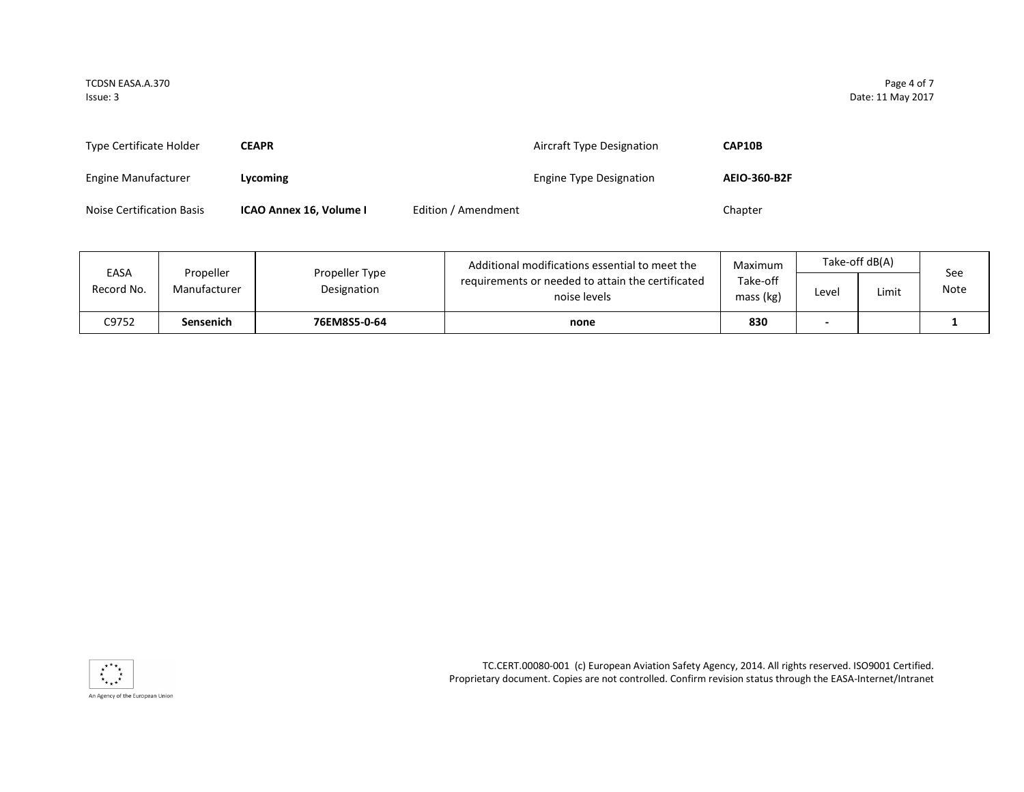## Issue: 3

TCDSN EASA.A.370 Page 4 of 7 Page 4 of 7<br>Date: 11 May 2017 Date: 11 May 2017

| Type Certificate Holder   | CEAPR                   |                     | Aircraft Type Designation | <b>CAP10B</b>       |
|---------------------------|-------------------------|---------------------|---------------------------|---------------------|
| Engine Manufacturer       | Lycoming                |                     | Engine Type Designation   | <b>AEIO-360-B2F</b> |
| Noise Certification Basis | ICAO Annex 16, Volume I | Edition / Amendment |                           | Chapter             |

| EASA       |              |                                            | Additional modifications essential to meet the                    | Maximum               | Take-off dB(A) |       |             |
|------------|--------------|--------------------------------------------|-------------------------------------------------------------------|-----------------------|----------------|-------|-------------|
| Record No. | Manufacturer | Propeller<br>Propeller Type<br>Designation | requirements or needed to attain the certificated<br>noise levels | Take-off<br>mass (kg) | Level          | Limit | See<br>Note |
| C9752      | Sensenich    | 76EM8S5-0-64                               | none                                                              | 830                   |                |       |             |

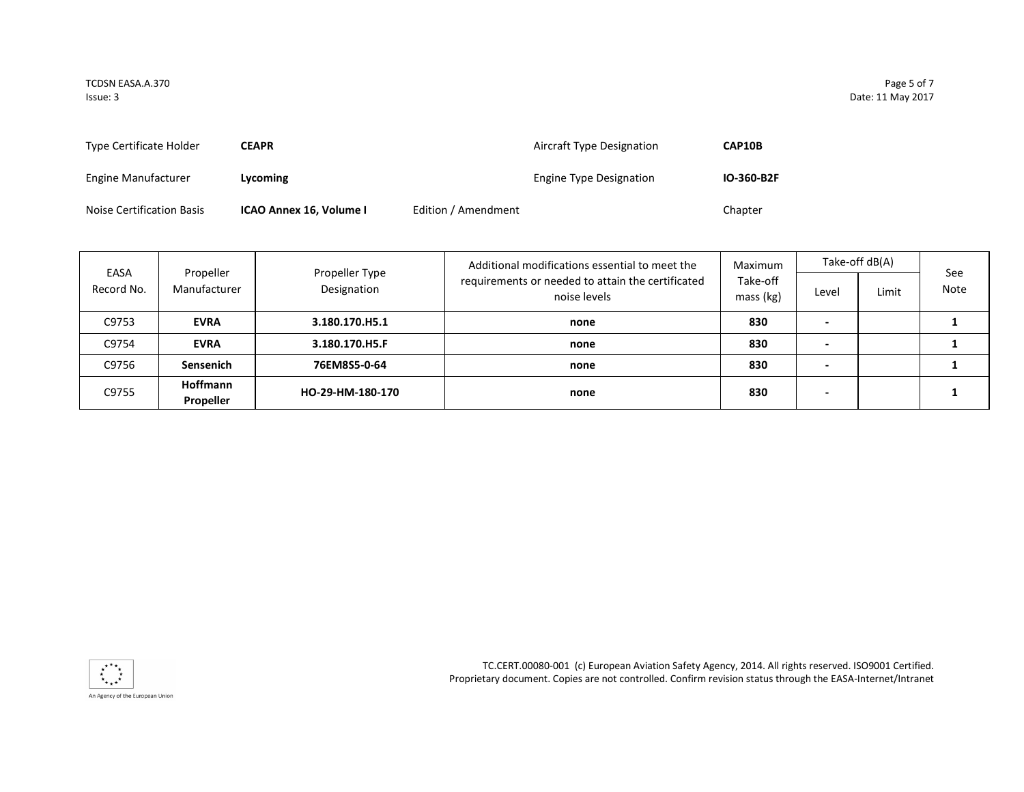## Issue: 3

TCDSN EASA.A.370 Page 5 of 7 Page 5 of 7<br>Date: 11 May 2017 Date: 11 May 2017

| Type Certificate Holder   | <b>CEAPR</b>            |                     | Aircraft Type Designation | CAP10B     |
|---------------------------|-------------------------|---------------------|---------------------------|------------|
| Engine Manufacturer       | Lycoming                |                     | Engine Type Designation   | IO-360-B2F |
| Noise Certification Basis | ICAO Annex 16, Volume I | Edition / Amendment |                           | Chapter    |

|                                                                                  |                                                                   |                       | Additional modifications essential to meet the | Maximum | Take-off dB(A)           |  | See<br>Note |
|----------------------------------------------------------------------------------|-------------------------------------------------------------------|-----------------------|------------------------------------------------|---------|--------------------------|--|-------------|
| EASA<br>Propeller<br>Propeller Type<br>Designation<br>Manufacturer<br>Record No. | requirements or needed to attain the certificated<br>noise levels | Take-off<br>mass (kg) | Level                                          | Limit   |                          |  |             |
| C9753                                                                            | <b>EVRA</b>                                                       | 3.180.170.H5.1        | none                                           | 830     | -                        |  |             |
| C9754                                                                            | <b>EVRA</b>                                                       | 3.180.170.H5.F        | none                                           | 830     |                          |  |             |
| C9756                                                                            | <b>Sensenich</b>                                                  | 76EM8S5-0-64          | none                                           | 830     | -                        |  |             |
| C9755                                                                            | <b>Hoffmann</b><br>Propeller                                      | HO-29-HM-180-170      | none                                           | 830     | $\overline{\phantom{0}}$ |  |             |

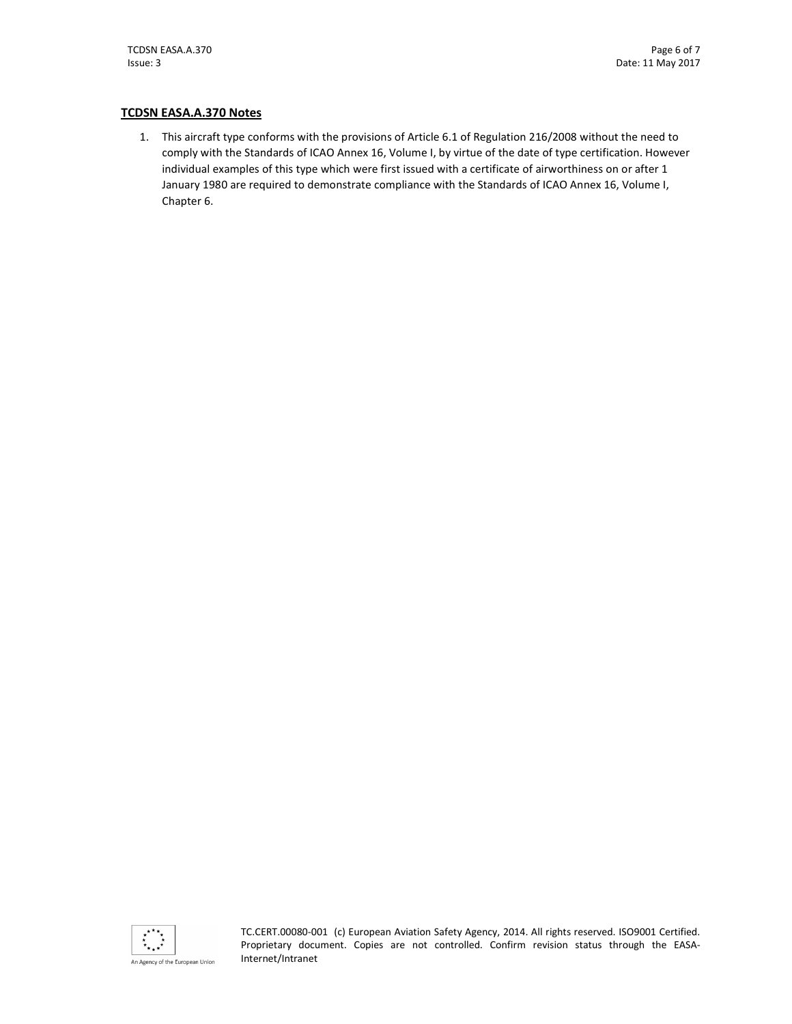#### **TCDSN EASA.A.370 Notes**

1. This aircraft type conforms with the provisions of Article 6.1 of Regulation 216/2008 without the need to comply with the Standards of ICAO Annex 16, Volume I, by virtue of the date of type certification. However individual examples of this type which were first issued with a certificate of airworthiness on or after 1 January 1980 are required to demonstrate compliance with the Standards of ICAO Annex 16, Volume I, Chapter 6.